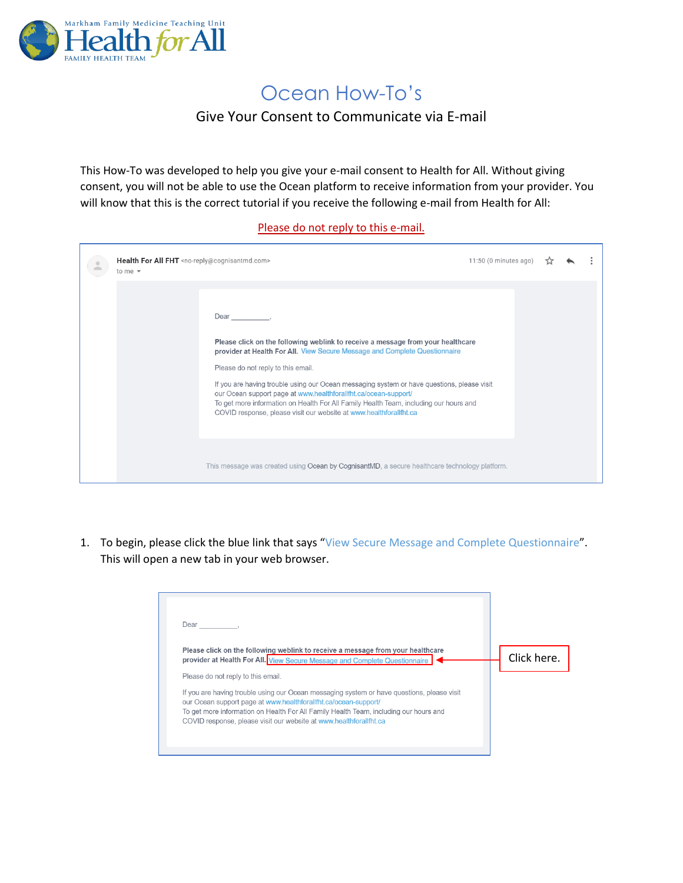

## Ocean How-To's

## Give Your Consent to Communicate via E-mail

This How-To was developed to help you give your e-mail consent to Health for All. Without giving consent, you will not be able to use the Ocean platform to receive information from your provider. You will know that this is the correct tutorial if you receive the following e-mail from Health for All:

## Please do not reply to this e-mail.

| Health For All FHT <no-reply@cognisantmd.com><br/>to me <math>\sqrt{ }</math></no-reply@cognisantmd.com> |                                                                                                                                                                                                                                                                                                                                                                                                                                                                                                                                             | 11:50 (0 minutes ago) |  |  |
|----------------------------------------------------------------------------------------------------------|---------------------------------------------------------------------------------------------------------------------------------------------------------------------------------------------------------------------------------------------------------------------------------------------------------------------------------------------------------------------------------------------------------------------------------------------------------------------------------------------------------------------------------------------|-----------------------|--|--|
|                                                                                                          | Dear<br>Please click on the following weblink to receive a message from your healthcare<br>provider at Health For All. View Secure Message and Complete Questionnaire<br>Please do not reply to this email.<br>If you are having trouble using our Ocean messaging system or have questions, please visit<br>our Ocean support page at www.healthforalifht.ca/ocean-support/<br>To get more information on Health For All Family Health Team, including our hours and<br>COVID response, please visit our website at www.healthforallfht.ca |                       |  |  |
|                                                                                                          | This message was created using Ocean by CognisantMD, a secure healthcare technology platform.                                                                                                                                                                                                                                                                                                                                                                                                                                               |                       |  |  |

1. To begin, please click the blue link that says "View Secure Message and Complete Questionnaire". This will open a new tab in your web browser.

| Dear                                                                                                                                                                                                                                                                                                                         |             |
|------------------------------------------------------------------------------------------------------------------------------------------------------------------------------------------------------------------------------------------------------------------------------------------------------------------------------|-------------|
| Please click on the following weblink to receive a message from your healthcare<br>provider at Health For All. View Secure Message and Complete Questionnaire                                                                                                                                                                | Click here. |
| Please do not reply to this email.                                                                                                                                                                                                                                                                                           |             |
| If you are having trouble using our Ocean messaging system or have questions, please visit<br>our Ocean support page at www.healthforallfht.ca/ocean-support/<br>To get more information on Health For All Family Health Team, including our hours and<br>COVID response, please visit our website at www.healthforallfht.ca |             |
|                                                                                                                                                                                                                                                                                                                              |             |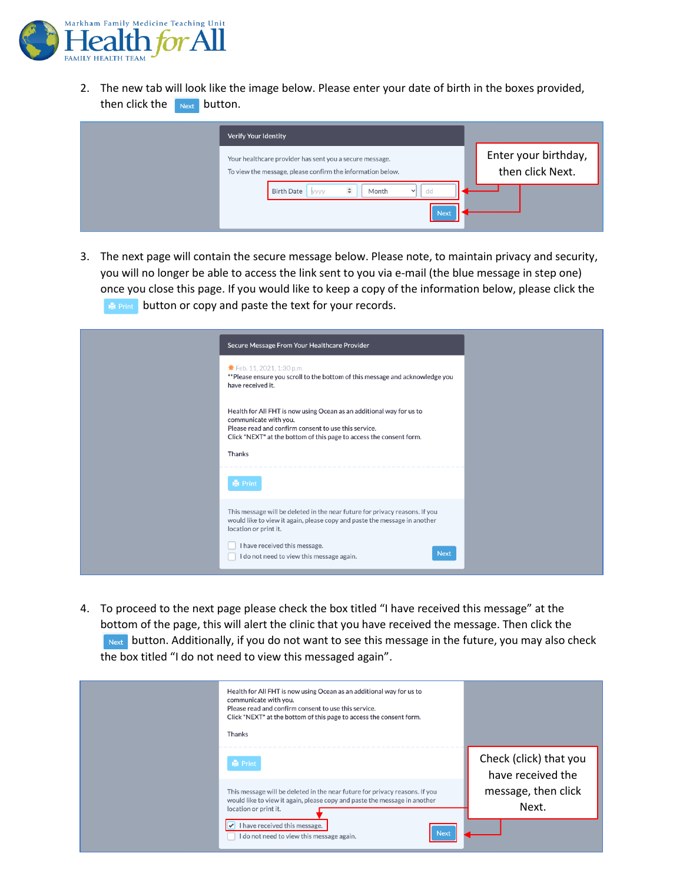

2. The new tab will look like the image below. Please enter your date of birth in the boxes provided, then click the button.

| Verify Your Identity                                                                                                  |                                          |
|-----------------------------------------------------------------------------------------------------------------------|------------------------------------------|
| Your healthcare provider has sent you a secure message.<br>To view the message, please confirm the information below. | Enter your birthday,<br>then click Next. |
| $\hat{\mathbb{I}}$<br><b>Birth Date</b><br>Month<br>dd<br>◡<br>yyyy<br><b>Next</b>                                    |                                          |

3. The next page will contain the secure message below. Please note, to maintain privacy and security, you will no longer be able to access the link sent to you via e-mail (the blue message in step one) once you close this page. If you would like to keep a copy of the information below, please click the **B** Print button or copy and paste the text for your records.

| Secure Message From Your Healthcare Provider                                                                                                                                                                                                                                   |  |
|--------------------------------------------------------------------------------------------------------------------------------------------------------------------------------------------------------------------------------------------------------------------------------|--|
| <b>*</b> Feb. 11, 2021, 1:30 p.m.<br>** Please ensure you scroll to the bottom of this message and acknowledge you<br>have received it.                                                                                                                                        |  |
| Health for All FHT is now using Ocean as an additional way for us to<br>communicate with you.<br>Please read and confirm consent to use this service.<br>Click "NEXT" at the bottom of this page to access the consent form.<br>Thanks                                         |  |
| <b>白 Print</b>                                                                                                                                                                                                                                                                 |  |
| This message will be deleted in the near future for privacy reasons. If you<br>would like to view it again, please copy and paste the message in another<br>location or print it.<br>I have received this message.<br><b>Next</b><br>I do not need to view this message again. |  |

4. To proceed to the next page please check the box titled "I have received this message" at the bottom of the page, this will alert the clinic that you have received the message. Then click the **Next button. Additionally, if you do not want to see this message in the future, you may also check** the box titled "I do not need to view this messaged again".

| Health for All FHT is now using Ocean as an additional way for us to<br>communicate with you.<br>Please read and confirm consent to use this service.<br>Click "NEXT" at the bottom of this page to access the consent form.<br>Thanks |                                             |
|----------------------------------------------------------------------------------------------------------------------------------------------------------------------------------------------------------------------------------------|---------------------------------------------|
| <b>A</b> Print                                                                                                                                                                                                                         | Check (click) that you<br>have received the |
| This message will be deleted in the near future for privacy reasons. If you<br>would like to view it again, please copy and paste the message in another<br>location or print it.                                                      | message, then click<br>Next.                |
| I have received this message.<br><b>Next</b><br>I do not need to view this message again.                                                                                                                                              |                                             |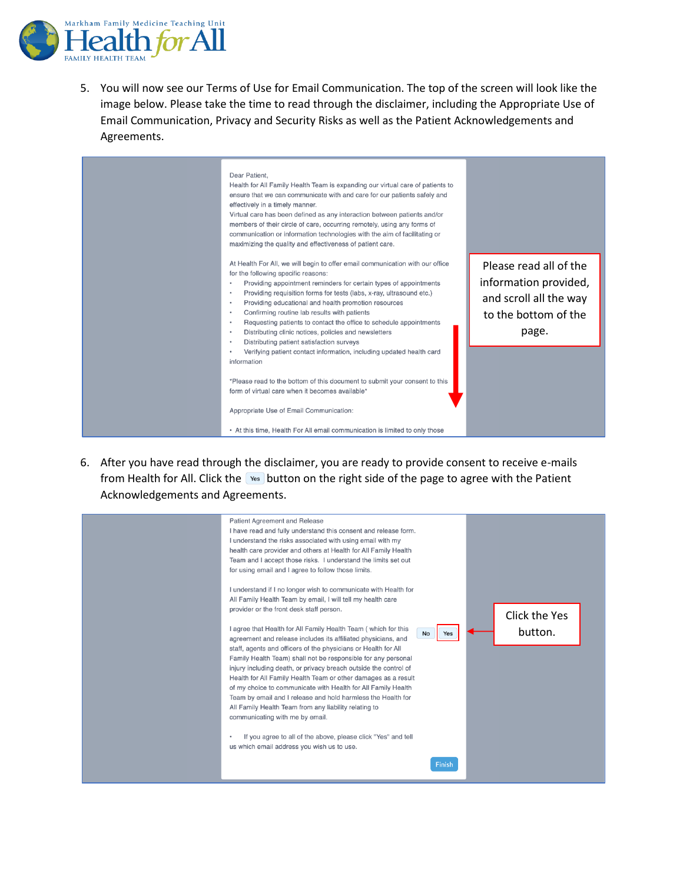

5. You will now see our Terms of Use for Email Communication. The top of the screen will look like the image below. Please take the time to read through the disclaimer, including the Appropriate Use of Email Communication, Privacy and Security Risks as well as the Patient Acknowledgements and Agreements.



6. After you have read through the disclaimer, you are ready to provide consent to receive e-mails from Health for All. Click the vest button on the right side of the page to agree with the Patient Acknowledgements and Agreements.